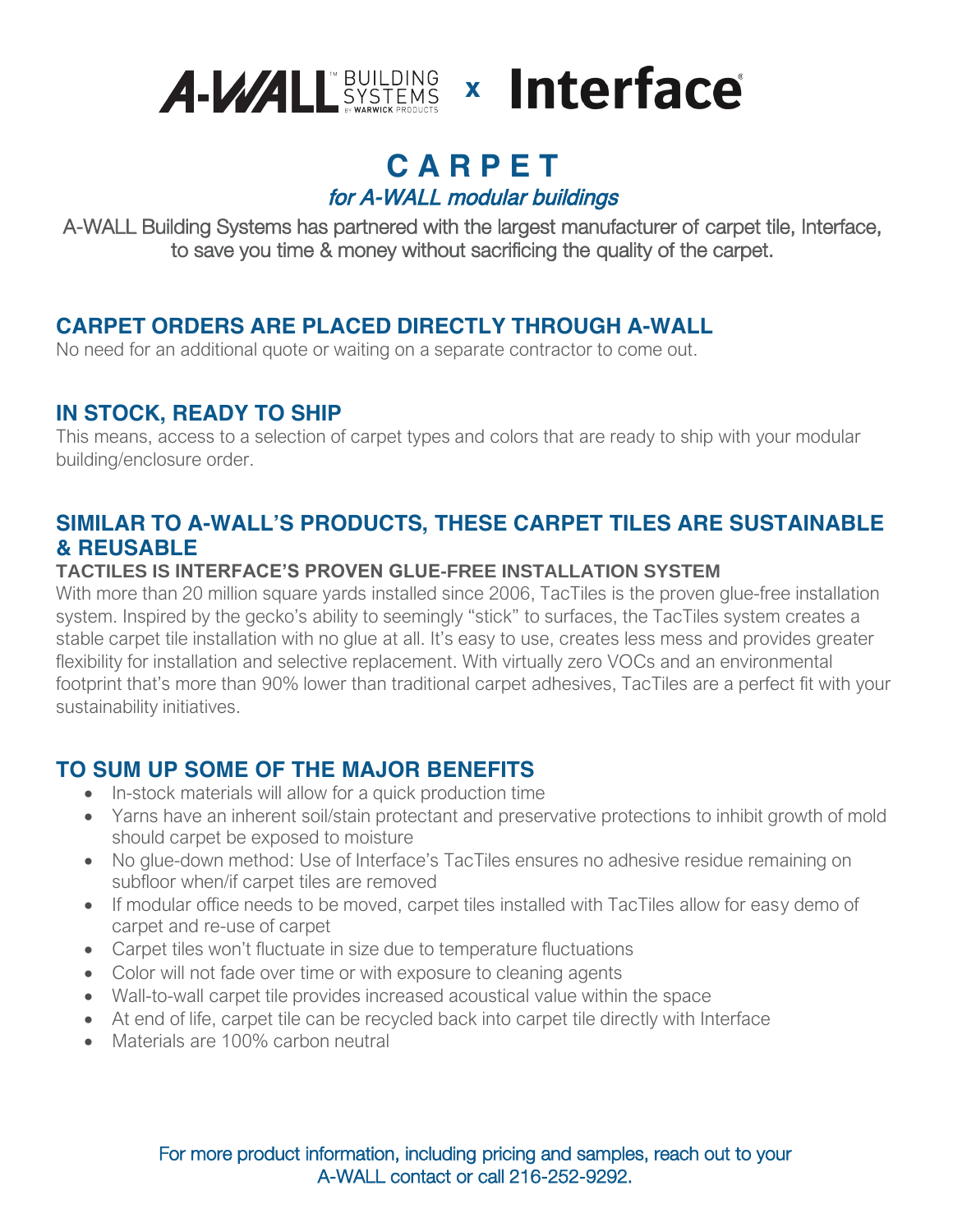

### **C A R P E T**  for A-WALL modular buildings

A-WALL Building Systems has partnered with the largest manufacturer of carpet tile, Interface, to save you time & money without sacrificing the quality of the carpet.

### **CARPET ORDERS ARE PLACED DIRECTLY THROUGH A-WALL**

No need for an additional quote or waiting on a separate contractor to come out.

### **IN STOCK, READY TO SHIP**

This means, access to a selection of carpet types and colors that are ready to ship with your modular building/enclosure order.

### **SIMILAR TO A-WALL'S PRODUCTS, THESE CARPET TILES ARE SUSTAINABLE & REUSABLE**

### **TACTILES IS INTERFACE'S PROVEN GLUE-FREE INSTALLATION SYSTEM**

With more than 20 million square yards installed since 2006, TacTiles is the proven glue-free installation system. Inspired by the gecko's ability to seemingly "stick" to surfaces, the TacTiles system creates a stable carpet tile installation with no glue at all. It's easy to use, creates less mess and provides greater flexibility for installation and selective replacement. With virtually zero VOCs and an environmental footprint that's more than 90% lower than traditional carpet adhesives, TacTiles are a perfect fit with your sustainability initiatives.

### **TO SUM UP SOME OF THE MAJOR BENEFITS**

- In-stock materials will allow for a quick production time
- Yarns have an inherent soil/stain protectant and preservative protections to inhibit growth of mold should carpet be exposed to moisture
- No glue-down method: Use of Interface's TacTiles ensures no adhesive residue remaining on subfloor when/if carpet tiles are removed
- If modular office needs to be moved, carpet tiles installed with TacTiles allow for easy demo of carpet and re-use of carpet
- Carpet tiles won't fluctuate in size due to temperature fluctuations
- Color will not fade over time or with exposure to cleaning agents
- Wall-to-wall carpet tile provides increased acoustical value within the space
- At end of life, carpet tile can be recycled back into carpet tile directly with Interface
- Materials are 100% carbon neutral

For more product information, including pricing and samples, reach out to your A-WALL contact or call 216-252-9292.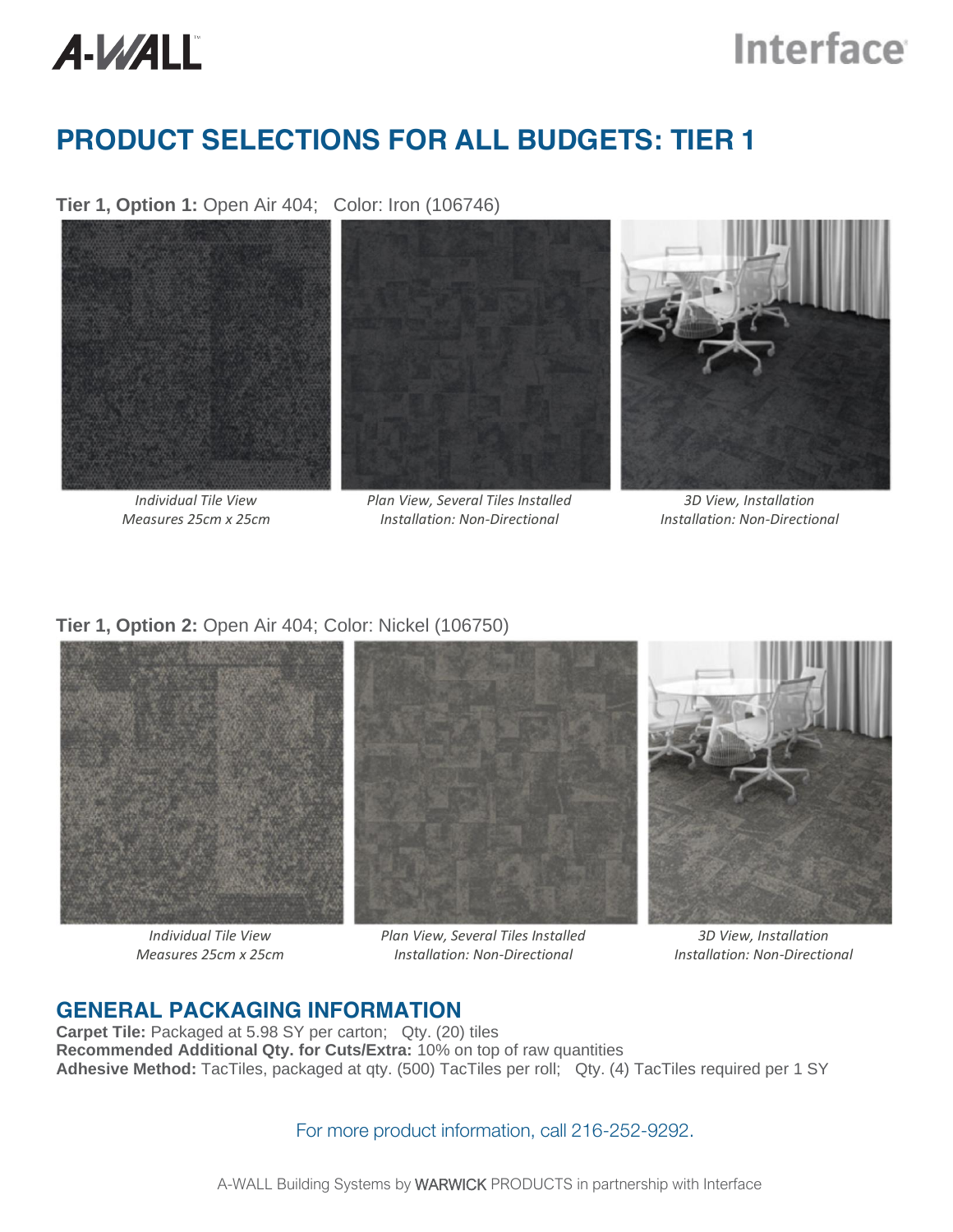# A-WALL

# **Interface**

## **PRODUCT SELECTIONS FOR ALL BUDGETS: TIER 1**

**Tier 1, Option 1:** Open Air 404; Color: Iron (106746)



*Individual Tile View Measures 25cm x 25cm*



*Plan View, Several Tiles Installed Installation: Non-Directional*



*3D View, Installation Installation: Non-Directional*

#### **Tier 1, Option 2:** Open Air 404; Color: Nickel (106750)



*Individual Tile View Measures 25cm x 25cm*

*Plan View, Several Tiles Installed Installation: Non-Directional*

*3D View, Installation Installation: Non-Directional*

### **GENERAL PACKAGING INFORMATION**

**Carpet Tile:** Packaged at 5.98 SY per carton; Qty. (20) tiles **Recommended Additional Qty. for Cuts/Extra:** 10% on top of raw quantities **Adhesive Method:** TacTiles, packaged at qty. (500) TacTiles per roll; Qty. (4) TacTiles required per 1 SY

For more product information, call 216-252-9292.